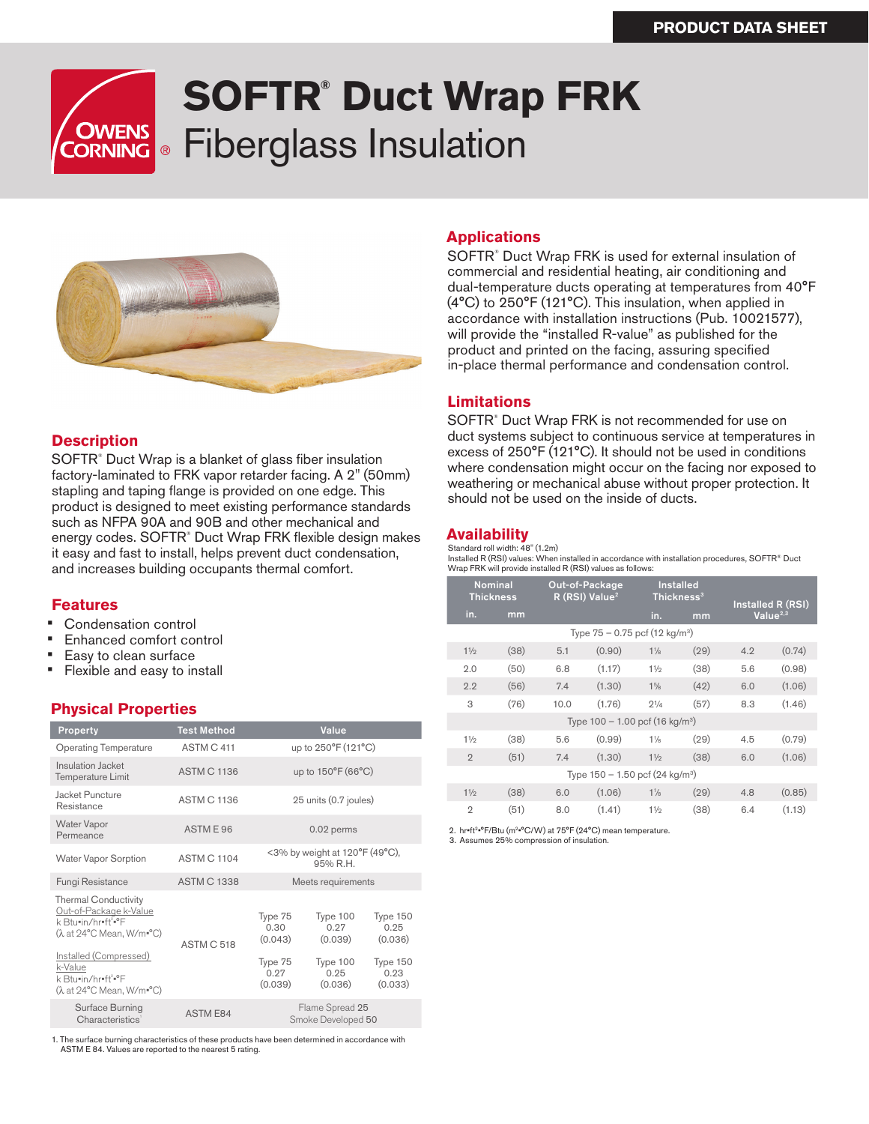# **SOFTR® Duct Wrap FRK OWENS** Fiberglass Insulation **OWENS<br>ORNING**



### **Description**

SOFTR<sup>®</sup> Duct Wrap is a blanket of glass fiber insulation factory-laminated to FRK vapor retarder facing. A 2" (50mm) stapling and taping flange is provided on one edge. This product is designed to meet existing performance standards such as NFPA 90A and 90B and other mechanical and energy codes. SOFTR® Duct Wrap FRK flexible design makes it easy and fast to install, helps prevent duct condensation, and increases building occupants thermal comfort.

#### **Features**

- Condensation control
- Enhanced comfort control
- Easy to clean surface
- Flexible and easy to install

# **Physical Properties**

| Property                                                                                                                                                                                                                         | <b>Test Method</b> | Value                                                    |                                                            |                                                            |
|----------------------------------------------------------------------------------------------------------------------------------------------------------------------------------------------------------------------------------|--------------------|----------------------------------------------------------|------------------------------------------------------------|------------------------------------------------------------|
| <b>Operating Temperature</b>                                                                                                                                                                                                     | ASTM C 411         | up to 250°F (121°C)                                      |                                                            |                                                            |
| Insulation Jacket<br>Temperature Limit                                                                                                                                                                                           | <b>ASTM C 1136</b> | up to 150°F (66°C)                                       |                                                            |                                                            |
| Jacket Puncture<br>Resistance                                                                                                                                                                                                    | <b>ASTM C 1136</b> | 25 units (0.7 joules)                                    |                                                            |                                                            |
| <b>Water Vapor</b><br>Permeance                                                                                                                                                                                                  | ASTME 96           | 0.02 perms                                               |                                                            |                                                            |
| <b>Water Vapor Sorption</b>                                                                                                                                                                                                      | <b>ASTM C 1104</b> | <3% by weight at 120°F (49°C),<br>95% R.H.               |                                                            |                                                            |
| Fungi Resistance                                                                                                                                                                                                                 | <b>ASTM C 1338</b> | Meets requirements                                       |                                                            |                                                            |
| <b>Thermal Conductivity</b><br>Out-of-Package k-Value<br>k Btu=in/hr=ft <sup>2</sup> =°F<br>(λ at 24°C Mean, W/m=°C)<br>Installed (Compressed)<br>k-Value<br>k Btu•in/hr•ft <sup>2</sup> •°F<br>$(\lambda$ at 24°C Mean, W/m=°C) | ASTM C 518         | Type 75<br>0.30<br>(0.043)<br>Type 75<br>0.27<br>(0.039) | Type 100<br>0.27<br>(0.039)<br>Type 100<br>0.25<br>(0.036) | Type 150<br>0.25<br>(0.036)<br>Type 150<br>0.23<br>(0.033) |
| Surface Burning<br>Characteristics'                                                                                                                                                                                              | <b>ASTM E84</b>    | Flame Spread 25<br>Smoke Developed 50                    |                                                            |                                                            |

1. The surface burning characteristics of these products have been determined in accordance with ASTM E 84. Values are reported to the nearest 5 rating.

#### **Applications**

SOFTR® Duct Wrap FRK is used for external insulation of commercial and residential heating, air conditioning and dual-temperature ducts operating at temperatures from 40°F (4°C) to 250°F (121°C). This insulation, when applied in accordance with installation instructions (Pub. 10021577), will provide the "installed R-value" as published for the product and printed on the facing, assuring specified in-place thermal performance and condensation control.

#### **Limitations**

SOFTR® Duct Wrap FRK is not recommended for use on duct systems subject to continuous service at temperatures in excess of 250°F (121°C). It should not be used in conditions where condensation might occur on the facing nor exposed to weathering or mechanical abuse without proper protection. It should not be used on the inside of ducts.

#### **Availability**

Standard roll width: 48" (1.2m) Installed R (RSI) values: When installed in accordance with installation procedures, SOFTR® Duct Wrap FRK will provide installed R (RSI) values as follows:

| <b>Nominal</b><br><b>Thickness</b>            |      | Out-of-Package<br>R (RSI) Value <sup>2</sup> |        |                | <b>Installed</b><br>Thickness <sup>3</sup> |                                     |        |
|-----------------------------------------------|------|----------------------------------------------|--------|----------------|--------------------------------------------|-------------------------------------|--------|
| in.                                           | mm   |                                              |        | in.            | mm                                         | Installed R (RSI)<br>Value $^{2,3}$ |        |
| Type $75 - 0.75$ pcf (12 kg/m <sup>3</sup> )  |      |                                              |        |                |                                            |                                     |        |
| 11/2                                          | (38) | 5.1                                          | (0.90) | $1\frac{1}{8}$ | (29)                                       | 4.2                                 | (0.74) |
| 2.0                                           | (50) | 6.8                                          | (1.17) | 11/2           | (38)                                       | 5.6                                 | (0.98) |
| 2.2                                           | (56) | 7.4                                          | (1.30) | $1\frac{5}{8}$ | (42)                                       | 6.0                                 | (1.06) |
| 3                                             | (76) | 10.0                                         | (1.76) | $2^{1/4}$      | (57)                                       | 8.3                                 | (1.46) |
| Type $100 - 1.00$ pcf (16 kg/m <sup>3</sup> ) |      |                                              |        |                |                                            |                                     |        |
| 11/2                                          | (38) | 5.6                                          | (0.99) | $1\frac{1}{8}$ | (29)                                       | 4.5                                 | (0.79) |
| $\overline{2}$                                | (51) | 7.4                                          | (1.30) | 11/2           | (38)                                       | 6.0                                 | (1.06) |
| Type $150 - 1.50$ pcf (24 kg/m <sup>3</sup> ) |      |                                              |        |                |                                            |                                     |        |
| 11/2                                          | (38) | 6.0                                          | (1.06) | $1\frac{1}{8}$ | (29)                                       | 4.8                                 | (0.85) |
| $\overline{2}$                                | (51) | 8.0                                          | (1.41) | 11/2           | (38)                                       | 6.4                                 | (1.13) |

2. hr•ft<sup>2</sup>•°F/Btu (m<sup>2</sup>•°C/W) at 75°F (24°C) mean temperature. 3. Assumes 25% compression of insulation.